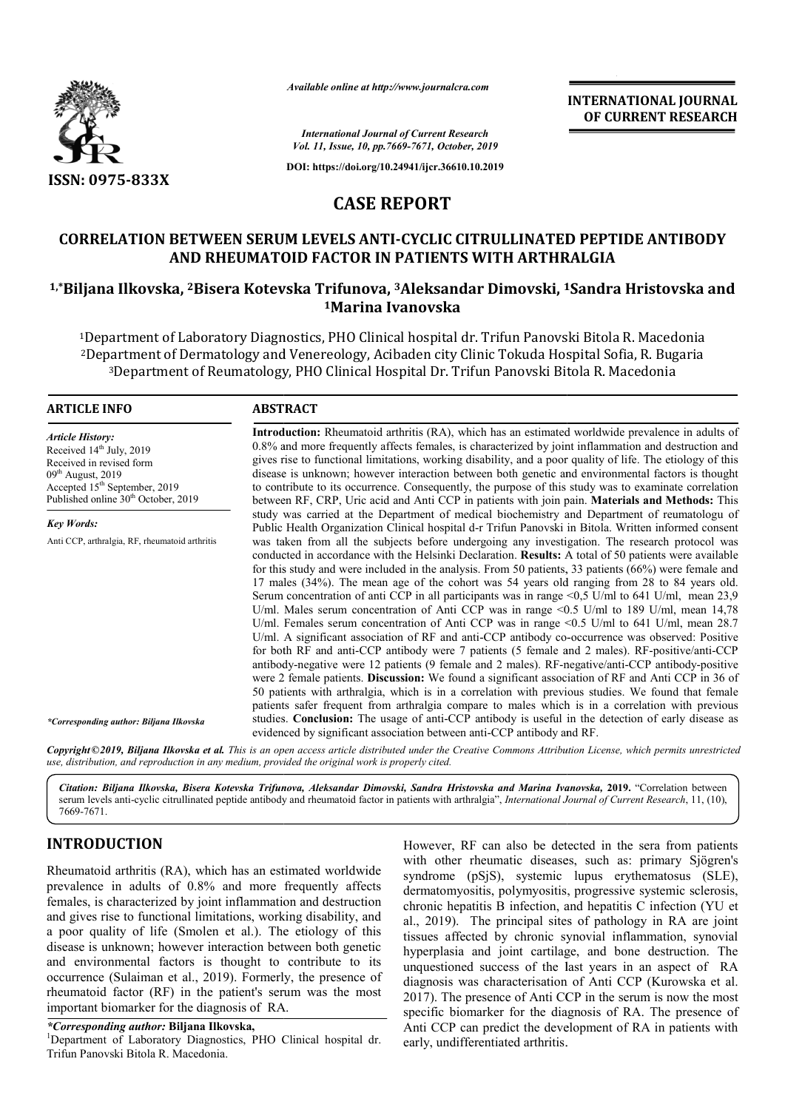

*Available online at http://www.journalcra.com*

**INTERNATIONAL JOURNAL OF CURRENT RESEARCH**

*International Journal of Current Research Vol. 11, Issue, 10, pp.7669-7671, October, 2019*

**DOI: https://doi.org/10.24941/ijcr.36610.10.2019**

# **CASE REPORT**

# **CORRELATION BETWEEN SERUM LEVELS ANTI-CYCLIC CITRULLINATED PEPTIDE ANTIBODY AND RHEUMATOID FACTOR IN PATIENTS WITH ARTHRALGIA** CORRELATION BETWEEN SERUM LEVELS ANTI-CYCLIC CITRULLINATED PEPTIDE ANTIBODY<br>AND RHEUMATOID FACTOR IN PATIENTS WITH ARTHRALGIA<br><sup>1,\*</sup>Biljana Ilkovska, <sup>2</sup>Bisera Kotevska Trifunova, <sup>3</sup>Aleksandar Dimovski, <sup>1</sup>Sandra Hristovsk

# **1Marina Ivanovska**

<sup>1</sup>Department of Laboratory Diagnostics, PHO Clinical hospital dr. Trifun Panovski Bitola R. Macedonia <sup>1</sup>Department of Laboratory Diagnostics, PHO Clinical hospital dr. Trifun Panovski Bitola R. Macedonia<br><sup>2</sup>Department of Dermatology and Venereology, Acibaden city Clinic Tokuda Hospital Sofia, R. Bugaria <sup>3</sup>Department of Reumatology, PHO Clinical Hospital Dr. Trifun Panovski Bitola R. Macedonia

#### **ARTICLE INFO ABSTRACT**

*Article History:* Received 14<sup>th</sup> July, 2019 Received in revised form  $09<sup>th</sup>$  August, 2019 Accepted  $15<sup>th</sup>$  September, 2019 Published online 30<sup>th</sup> October, 2019

*Key Words:* Anti CCP, arthralgia, RF, rheumatoid arthritis

*\*Corresponding author: Biljana Ilkovska*

**Introduction:**  Rheumatoid arthritis (RA), which has an estimated worldwide prevalence in adults of 0.8% and more frequently affects females, is characterized by joint inflammation and destruction and Introduction: Rheumatoid arthritis (RA), which has an estimated worldwide prevalence in adults of 0.8% and more frequently affects females, is characterized by joint inflammation and destruction and gives rise to functiona disease is unknown; however interaction between both genetic and environmental factors is thought to contribute to its occurrence. Consequently, the purpose of this study was to examinate correlation disease is unknown; however interaction between both genetic and environmental factors is thought<br>to contribute to its occurrence. Consequently, the purpose of this study was to examinate correlation<br>between RF, CRP, Uric study was carried at the Department of medical biochemistry and Department of reumatologu of study was carried at the Department of medical biochemistry and Department of reumatologu of<br>Public Health Organization Clinical hospital d-r Trifun Panovski in Bitola. Written informed consent was taken from all the subjects before undergoing any investigation. The research protocol was conducted in accordance with the Helsinki Declaration. **Results:** A total of 50 patients were available for this study and were included in the analysis. From 50 patients, 33 patients (66%) were female and 17 males (34%). The mean age of the cohort was 54 years old ranging from 28 to 84 years old. Serum concentration of anti CCP in all participants was in range <0,5 U/ml to 641 U/ml, mean 23,9 U/ml. Males serum concentration of Anti CCP was in range <0.5 U/ml to 189 U/ml, mean 14,78 U/ml. Females serum concentration of Anti CCP was in range <0.5 U/ml to 641 U/ml, mean 28.7 U/ml. A significant association of RF and anti-CCP antibody cofor both RF and anti-CCP antibody were 7 patients (5 female and 2 males). RF-positive/anti-CCP antibody-negative were 12 patients (9 female and 2 males). RF-negative/anti-CCP antibody-positive were 2 female patients. **Discussion:** We found a significant association of RF and Anti CCP in 36 of 50 patients with arthralgia, which is in a correlation with previous studies. We found that female patients safer frequent from arthralgia compare to males which is in a correlation with previous studies. Conclusion: The usage of anti-CCP antibody is useful in the detection of early disease as evidenced by significant association between anti-CCP antibody and RF. was taken from all the subjects before undergoing any investigation. The research protocol was conducted in accordance with the Helsinki Declaration. **Results:** A total of 50 patients were available for this study and were were 2 female patients. **Discussion:** We found a significant association of RF and Anti CCP in 36 of 50 patients with arthralgia, which is in a correlation with previous studies. We found that female patients safer frequen INTERNATIONAL JOURNAL<br>
SCRIPS (*Corres Recent)*<br>
2019. Current Research<br>
2019). **PORT**<br>
2019). **PORT**<br>
2020). **CYCLIC CITRUILLINATED PEPTIDE ANTIBODY**<br>
2020). **PORT**<br>
2020). **PORT**<br>
2020). **EVALUATED PEPTIDE ANTIBODY**<br>
202

Copyright©2019, Biljana Ilkovska et al. This is an open access article distributed under the Creative Commons Attribution License, which permits unrestrictea

*use, distribution, and reproduction in any medium, provided the original work is properly cited.*

Citation: Biljana Ilkovska, Bisera Kotevska Trifunova, Aleksandar Dimovski, Sandra Hristovska and Marina Ivanovska, 2019. "Correlation between serum levels anti-cyclic citrullinated peptide antibody and rheumatoid factor in patients with arthralgia", *International Journal of Current Research*, 11, (10), 7669-7671.

# **INTRODUCTION**

Rheumatoid arthritis (RA), which has an estimated worldwide prevalence in adults of 0.8% and more frequently affects females, is characterized by joint inflammation and destruction and gives rise to functional limitations, working disability, and a poor quality of life (Smolen et al.). The etiology of this disease is unknown; however interaction between both genetic and environmental factors is thought to contribute to its occurrence (Sulaiman et al., 2019). Formerly, the presence of rheumatoid factor (RF) in the patient's serum was the most important biomarker for the diagnosis of RA.

#### *\*Corresponding author:* **Biljana Ilkovska,** <sup>1</sup>

<sup>1</sup>Department of Laboratory Diagnostics, PHO Clinical hospital dr. Trifun Panovski Bitola R. Macedonia.

However, RF can also be detected in the sera from patients<br>
with other rheumatic diseases, such as: primary Sjögren's<br>
syndrome (pSjS), systemic lupus erythematosus (SLE),<br>
dermatomyositis, polymyositis, progressive system with other rheumatic diseases, such as: primary Sjögren's syndrome (pSjS), systemic lupus erythematosus (SLE), dermatomyositis, polymyositis, progressive systemic sclerosis, chronic hepatitis B infection, and hepatitis C infection (YU et al., 2019). The principal sites of pathology in RA are joint tissues affected by chronic synovial inflammation, synovial hyperplasia and joint cartilage, and bone destruction. The unquestioned success of the last years in an aspect of RA diagnosis was characterisation of Anti CCP (Kurowska et al. 2017). The presence of Anti CCP in the serum is now the most specific biomarker for the diagnosis of RA. The presence of Anti CCP can predict the development of RA in patients with early, undifferentiated arthritis. RF can also be detected in the sera from patients<br>
rheumatic diseases, such as: primary Sjögren's<br>
(pSjS), systemic lupus erythematosus (SLE),<br>
vositis, polymyositis, progressive systemic sclerosis,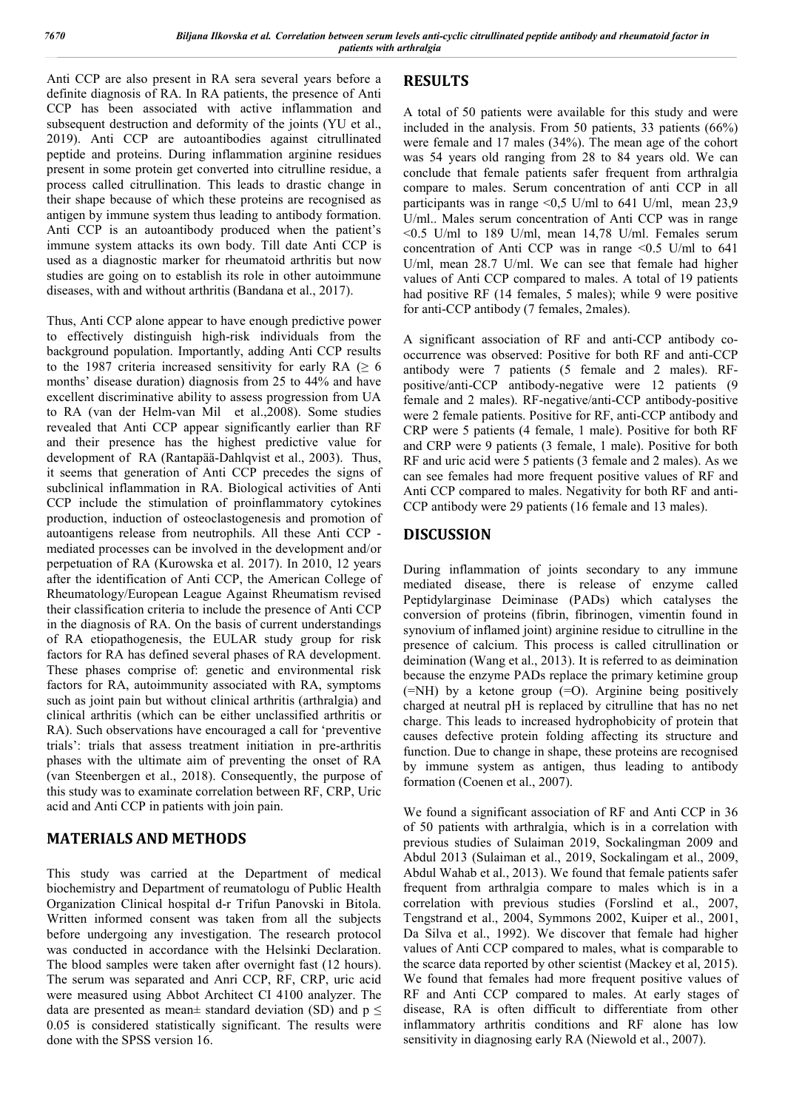Anti CCP are also present in RA sera several years before a definite diagnosis of RA. In RA patients, the presence of Anti CCP has been associated with active inflammation and subsequent destruction and deformity of the joints (YU et al., 2019). Anti CCP are autoantibodies against citrullinated peptide and proteins. During inflammation arginine residues present in some protein get converted into citrulline residue, a process called citrullination. This leads to drastic change in their shape because of which these proteins are recognised as antigen by immune system thus leading to antibody formation. Anti CCP is an autoantibody produced when the patient's immune system attacks its own body. Till date Anti CCP is used as a diagnostic marker for rheumatoid arthritis but now studies are going on to establish its role in other autoimmune diseases, with and without arthritis (Bandana et al., 2017).

Thus, Anti CCP alone appear to have enough predictive power to effectively distinguish high-risk individuals from the background population. Importantly, adding Anti CCP results to the 1987 criteria increased sensitivity for early RA ( $\geq 6$ ) months' disease duration) diagnosis from 25 to 44% and have excellent discriminative ability to assess progression from UA to RA (van der Helm-van Mil et al.,2008). Some studies revealed that Anti CCP appear significantly earlier than RF and their presence has the highest predictive value for development of RA (Rantapää-Dahlqvist et al., 2003). Thus, it seems that generation of Anti CCP precedes the signs of subclinical inflammation in RA. Biological activities of Anti CCP include the stimulation of proinflammatory cytokines production, induction of osteoclastogenesis and promotion of autoantigens release from neutrophils. All these Anti CCP mediated processes can be involved in the development and/or perpetuation of RA (Kurowska et al. 2017). In 2010, 12 years after the identification of Anti CCP, the American College of Rheumatology/European League Against Rheumatism revised their classification criteria to include the presence of Anti CCP in the diagnosis of RA. On the basis of current understandings of RA etiopathogenesis, the EULAR study group for risk factors for RA has defined several phases of RA development. These phases comprise of: genetic and environmental risk factors for RA, autoimmunity associated with RA, symptoms such as joint pain but without clinical arthritis (arthralgia) and clinical arthritis (which can be either unclassified arthritis or RA). Such observations have encouraged a call for 'preventive trials': trials that assess treatment initiation in pre-arthritis phases with the ultimate aim of preventing the onset of RA (van Steenbergen et al., 2018). Consequently, the purpose of this study was to examinate correlation between RF, CRP, Uric acid and Anti CCP in patients with join pain.

# **MATERIALS AND METHODS**

This study was carried at the Department of medical biochemistry and Department of reumatologu of Public Health Organization Clinical hospital d-r Trifun Panovski in Bitola. Written informed consent was taken from all the subjects before undergoing any investigation. The research protocol was conducted in accordance with the Helsinki Declaration. The blood samples were taken after overnight fast (12 hours). The serum was separated and Anri CCP, RF, CRP, uric acid were measured using Abbot Architect CI 4100 analyzer. The data are presented as mean $\pm$  standard deviation (SD) and p  $\leq$ 0.05 is considered statistically significant. The results were done with the SPSS version 16.

# **RESULTS**

A total of 50 patients were available for this study and were included in the analysis. From 50 patients, 33 patients (66%) were female and 17 males (34%). The mean age of the cohort was 54 years old ranging from 28 to 84 years old. We can conclude that female patients safer frequent from arthralgia compare to males. Serum concentration of anti CCP in all participants was in range  $\leq 0.5$  U/ml to 641 U/ml, mean 23.9 U/ml.. Males serum concentration of Anti CCP was in range <0.5 U/ml to 189 U/ml, mean 14,78 U/ml. Females serum concentration of Anti CCP was in range <0.5 U/ml to 641 U/ml, mean 28.7 U/ml. We can see that female had higher values of Anti CCP compared to males. A total of 19 patients had positive RF (14 females, 5 males); while 9 were positive for anti-CCP antibody (7 females, 2males).

A significant association of RF and anti-CCP antibody cooccurrence was observed: Positive for both RF and anti-CCP antibody were 7 patients (5 female and 2 males). RFpositive/anti-CCP antibody-negative were 12 patients (9 female and 2 males). RF-negative/anti-CCP antibody-positive were 2 female patients. Positive for RF, anti-CCP antibody and CRP were 5 patients (4 female, 1 male). Positive for both RF and CRP were 9 patients (3 female, 1 male). Positive for both RF and uric acid were 5 patients (3 female and 2 males). As we can see females had more frequent positive values of RF and Anti CCP compared to males. Negativity for both RF and anti-CCP antibody were 29 patients (16 female and 13 males).

# **DISCUSSION**

During inflammation of joints secondary to any immune mediated disease, there is release of enzyme called Peptidylarginase Deiminase (PADs) which catalyses the conversion of proteins (fibrin, fibrinogen, vimentin found in synovium of inflamed joint) arginine residue to citrulline in the presence of calcium. This process is called citrullination or deimination (Wang et al., 2013). It is referred to as deimination because the enzyme PADs replace the primary ketimine group (=NH) by a ketone group (=O). Arginine being positively charged at neutral pH is replaced by citrulline that has no net charge. This leads to increased hydrophobicity of protein that causes defective protein folding affecting its structure and function. Due to change in shape, these proteins are recognised by immune system as antigen, thus leading to antibody formation (Coenen et al., 2007).

We found a significant association of RF and Anti CCP in 36 of 50 patients with arthralgia, which is in a correlation with previous studies of Sulaiman 2019, Sockalingman 2009 and Abdul 2013 (Sulaiman et al., 2019, Sockalingam et al., 2009, Abdul Wahab et al., 2013). We found that female patients safer frequent from arthralgia compare to males which is in a correlation with previous studies (Forslind et al., 2007, Tengstrand et al., 2004, Symmons 2002, Kuiper et al., 2001, Da Silva et al., 1992). We discover that female had higher values of Anti CCP compared to males, what is comparable to the scarce data reported by other scientist (Mackey et al, 2015). We found that females had more frequent positive values of RF and Anti CCP compared to males. At early stages of disease, RA is often difficult to differentiate from other inflammatory arthritis conditions and RF alone has low sensitivity in diagnosing early RA (Niewold et al., 2007).